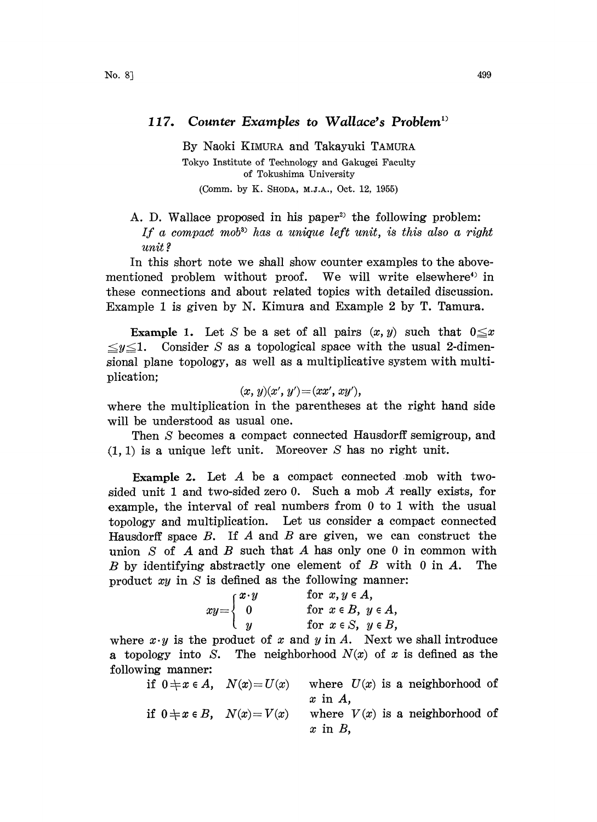## 117. Counter Examples to Wallace's Problem

By Naoki KIMURA and Takayuki TAMURA Tokyo Institute of Technology and Gakugei Faculty of Tokushima University (Comm. by K. SHODA, M.J.A., Oct. 12, 1955)

A. D. Wallace proposed in his paper<sup>2)</sup> the following problem: If a compact mob<sup>3</sup> has a unique left unit, is this also a right unit ?

In this short note we shall show counter examples to the abovementioned problem without proof. We will write elsewhere<sup>4</sup> in hese connections and about related topics with detailed discussion. Example <sup>1</sup> is given by N. Kimura and Example 2 by T. Tamura.

**Example 1.** Let S be a set of all pairs  $(x, y)$  such that  $0 \le x \le y \le 1$ . Consider S as a topological space with the usual 2-dimen-Consider  $S$  as a topological space with the usual 2-dimensional plane topology, as well as a multiplicative system with multiplication;

$$
(x, y)(x', y') = (xx', xy'),
$$

where the multiplication in the parentheses at the right hand side will be understood as usual one.

Then S becomes a compact connected Hausdorff semigroup, and  $(1, 1)$  is a unique left unit. Moreover S has no right unit.

Example 2. Let  $A$  be a compact connected mob with twosided unit 1 and two-sided zero 0. Such a mob  $\vec{A}$  really exists, for example, the interval of real numbers from  $0$  to  $1$  with the usual opology and multiplication. Let us consider a compact connected Hausdorff space  $B$ . If  $A$  and  $B$  are given, we can construct the union  $S$  of  $A$  and  $B$  such that  $A$  has only one 0 in common with  $B$  by identifying abstractly one element of  $B$  with  $0$  in  $A$ . The product  $xy$  in  $S$  is defined as the following manner:

| for $x, y \in A$ ,          |
|-----------------------------|
| for $x \in B$ , $y \in A$ , |
| for $x \in S$ , $y \in B$ , |
|                             |

where  $x \cdot y$  is the product of x and y in A. Next we shall introduce a topology into S. The neighborhood  $N(x)$  of x is defined as the following manner:

| if $0 \neq x \in A$ , $N(x) = U(x)$ | where $U(x)$ is a neighborhood of |  |
|-------------------------------------|-----------------------------------|--|
|                                     | $x$ in $A$ ,                      |  |
| if $0 \neq x \in B$ , $N(x) = V(x)$ | where $V(x)$ is a neighborhood of |  |
|                                     | $x$ in $B$ ,                      |  |